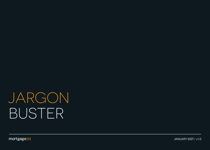mortgage1st

JANUARY 2021 / v1.0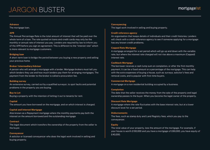#### **Advance**

The mortgage loan.

# **APR**

The Annual Percentage Rate is the total amount of interest that will be paid over the whole term of a loan. The rate quoted on loans and credit cards may only be the monthly or annual rate of interest you pay. Lenders are required by law to inform you of the APR before you sign an agreement. This is different to the "interest rate" which is more relevant to mortgage customers.

# **Bridging loan**

A short-term loan to bridge the period between you buying a new property and selling your previous home.

# **Broker/ Intermediary/Adviser**

A person who will arrange a mortgage with a lender. Mortgage brokers must tell you which lenders they use and how much lenders pay them for arranging mortgages. The payment from the lender to the broker is called a procuration fee.

# **Building survey**

An extensive survey, carried out by a qualified surveyor, to spot faults and potential problems in the property you are buying.

# **Buy to Let**

Buying a property with the intention of letting it out to tenants for rent.

# **Capital**

The amount you have borrowed on the mortgage, and on which interest is charged.

# **Capital and Interest Mortgage**

Also known as a Repayment mortgage where the monthly payments pay both the interest on the amount borrowed and the outstanding mortgage

# **Contract**

The legal document which transfers the ownership of the property from the seller to the buyer.

# **Conveyancer**

A solicitor or licensed conveyancer who does the legal work involved in selling and buying property.

# **Conveyancing**

The legal work involved in selling and buying property.

## **Credit reference agency**

An organisation that keeps details of individuals and their credit histories. Lenders will check with a credit reference agency to see if someone applying for a mortgage has any known credit problems.

# **Capped Rate Mortgage**

A mortgage arranged for a set period which will go up and down with the variable rate, but where the interest rate charged will not rise above a maximum (Capped) interest rate.

# **Cashback Mortgage**

The borrower receives a cash lump sum on completion, or after the first monthly payment. It can be a fixed amount or a percentage of the mortgage. This can help with the extra expenses of buying a house, such as: surveys, solicitor's fees and removal costs, and is popular with first-time buyers.

# **Commercial Mortgage**

A mortgage on a non residential building occupied by a business.

# **Completion**

The date that the seller receives the money from the sale of the property and legal ownership passes to the buyer. When you become the legal owner of the property.

# **Discount Rate Mortgage**

A mortgage where the rate fluctuates with the base interest rate, but at a lower discount level for a set period.

# **Disbursements**

The fees, such as stamp duty and Land Registry fees, which you pay to the conveyancer.

# **Equity**

The total value of your property, less the amount of the mortgage. For example, if your house is worth £100,000 and you have a mortgage of £60,000, you have equity of £40,000.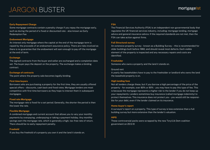#### **Early Repayment Charge**

Some mortgage contracts contain a penalty charge if you repay the mortgage early, such as during the period of a fixed or discounted rate - also known as Early Redemption Fee

# **Endowment Mortgage**

An interest only mortgage where the capital at the end of the mortgage term is repaid by the proceeds of an endowment assurance policy. There are risks involved as there is no guarantee that the endowment will earn enough to pay off the mortgage at the end of term.

## **Exchange**

The signed contracts from the buyer and seller are exchanged and a completion date set. The buyer pays the deposit on the property. The exchange makes a binding contract.

# **Exchange of contracts**

The point where the property sale becomes legally binding.

# **First time buyers**

Borrowers who are purchasing a property for the first time, they are usually offered special offers – discounts, cash back and fixed rates. Mortgage lenders are most competitive with first time borrowers as they hope to interest them in subsequent mortgages.

# **Fixed rate Mortgage**

The mortgage rate is fixed for a set period. Generally, the shorter the period is then the lower the rate.

# **Flexible Mortgage**

A combined mortgage and current account that allows you to vary your monthly payments by overpaying, underpaying or taking a payment holiday. Any monthly savings earn the mortgage rate, which is generally a high, tax-free rate of return. There should be no early repayment penalty.

# **Freehold**

If you buy the freehold of a property you own it and the land it stands on.

# **FSA**

The Financial Services Authority (FSA) is an independent non-governmental body that regulates the UK financial services industry, including: mortgage lending, mortgage advice and general insurance advice. If the required standards are not met, then the FSA can take action against firms.

## **Full Structural survey**

An extensive property survey - known as a Building Survey – this is recommended for older buildings built before 1960, and should reveal most defects. Each visible element of the property is inspected and any necessary repairs and costs are identified.

## **Freeholder**

Someone who owns a property and the land it stands on.

## Ground rent

A yearly fee leaseholders have to pay to the freeholder or landlord who owns the land the leasehold property is on.

# **High lending fees**

Not all lenders charge these, but if you borrow a high percentage of the price of the property - for example, over 80% or 90% - you may have to pay this type of fee. This is because the mortgage represents a higher risk to the lender if you do not keep up your repayments. Lenders sometimes buy insurance (called mortgage indemnity) to protect themselves. This insurance does not protect you - you would still be responsible for your debt, even if the lender claimed on its insurance.

# **Home-buyer's report**

A surveyor's report on a property. This type of survey is less extensive than a full building survey but more extensive than the lender's valuation.

# **HIPS**

These controversial packs were scrapped by the new Tory/Lib Dem coalition government on 20.5.10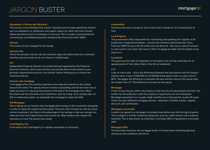#### **Homebuyer's Survey and Valuation**

This survey is more detailed than a basic Valuation and includes significant matters such as subsidence or settlement and urgent repairs for which the client should obtain quotations prior to exchange of contracts. This is usually recommended for conventional, unmodified properties and generally those built after 1960's

## **Interest**

The money you are charged for borrowing.

# **Interest rate**

This is the actually interest rate the customer pays, this determines the customers monthly payments and can be on a fixed or variable basis

# **IFA**

Independent Financial Advisers are authorised and regulated by the Financial Services Authority, which ensures they only provide advice most suited to your personal requirements and your risk outlook, before helping you to choose any financial products.

# **Interest only mortgage**

A mortgage where the monthly payments only meet the interest on the capital amount borrowed. The capital amount remains outstanding and the borrower has to make provision for repaying this amount at the end of the mortgage term. Most borrowers use the proceeds of an investment, such as a long- term savings plan, an ISA or endowment policy run alongside the mortgage to repay the debt.

# **ISA Mortgage**

This is taking out an interest-only mortgage and running an ISA investment alongside in order to repay the capital sum borrowed. There are risks involved as with any stock market investment, but there is the advantage of tax savings in that any savings you make are free from Capital Gains and income tax. Most lenders also require life insurance to cover the amount borrowed.

# **Land Registry fee**

A fee paid to the Land Registry to register ownership of a property.

## **Leaseholder**

Someone who owns a property, but not the land it stands on, for a fixed period of time.

# **Land Registry**

The government body responsible for maintaining and updating the register of all properties in England and Wales – records and transfers land ownership. Since February 2005 for just a £2 fee online you can discover : who owns a specific property, how much it cost them, the name of their mortgage provider and the length of any lease on it.

## **Leasehold**

This gives you the right of possession of a property, but not the ownership for an agreed period of time. Many flats in the UK are leasehold.

# **LTV**

Loan-to-value ratio – this is the difference between the loan amount and the house's market value. A loan of £80,000 on a £100,000 home gives a loan-to-value ratio of 80%. The bigger the difference is between the loan and the value of the house, then the smaller the LTV. This difference is known as the equity.

# **Mortgage**

A loan to buy a house, where the property is the security for paying back the loan. The lender has the authority to sell the property if repayments are not maintained. Mortgage repayments are usually made monthly over a long period, usually 25 years. There are many different mortgage options : repayment, flexible, tracker, capped, discount, self certification.

# **Mortgage-in-principle**

Lenders can agree to a mortgage in principle even before you find the right property. This is subject to further conditions being met, such as, credit checks and a property valuation. This is also known as a Decision in principle (DIP) or Agreement in principle (AIP)

# **Mortgage Offer**

The document issued by the mortgage lender to the borrower following approval, setting out the conditions and terms.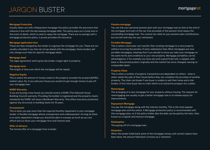#### **Mortgage Protection**

Usually taken out with a Repayment mortgage this policy provides life assurance that reduces in line with the decreasing mortgage debt. The policy pays out a lump sum in the event of death, which is used to repay the mortgage. There are no savings with a mortgage protection policy, it purely provides life insurance.

## **Mortgage application fees**

These are fees charged by the lender to organise the mortgage for you. These are not usually refunded if you then do not go ahead with the mortgage. Some lenders will only charge such fees for specific mortgage deals.

## **Mortgage deed**

The legal agreement which gives the lender a legal right to property.

## **Mortgage term**

The length of time over which the mortgage will be repaid.

#### **Negative Equity**

This is where the amount of money owed on the property exceeds the property  $&\#39$ ; market value. So, if you sold your house you would not get enough money to pay off your mortgage loan.

## **NHBC Warranty**

If you are buying a new house you should receive a NHBC (The National House Building Council) warranty. Providing the builder is registered and the property meets standards the NHBC will issue a Buildmark Warranty. This offers insurance protection against any structural or building faults for 10 years.

#### **Overpayment**

This is when you pay more than the required monthly repayment to your mortgage lender. A flexible mortgage allows overpayment and underpayment. As long as there is no early repayment charge you should be able to overpay as much as you can afford and cut down your mortgage term and interest paid.

## **Offer of advance**

The formal offer of a mortgage from a lender.

#### **Pension mortgage**

You can link your personal pension plan with your mortgage loan,so that at the end of the mortgage term part of the tax-free proceeds of the pension fund repays the outstanding mortgage loan. You receive tax relief on your pension plan contributions, but are left with less for your retirement.

#### **Portable Mortgage**

This is where a borrower can transfer their existing mortgage to a new property without incurring the penalty of early redemption fees. Most mortgages are now portable mortgages, meaning that if you decide to move you take your mortgage on the same terms and conditions to your new property. Mortgage portability can be advantageous, if for example you have secured a good fixed rate, a capped, cash back or discounted product originally and the market has since changed, leaving no comparable deals.

#### **Property Chain**

This is when a number of property transactions are dependant on others - when a seller needs the sale of their house before they can complete the purchase of another property. The chain can break if one buyer is unable to sell their home and a link breaks. A first-time buyer has no chain which is an attractive prospect for a seller.

#### **Remortgage**

The arranging of a new mortgage for your property without moving. The reasons for remortgaging are usually to get a better mortgage rate or to release equity for improvements.

## **Repayment Mortgage**

You pay the mortgage along with the interest monthly. This is the most popular mortgage plan and the safest. A Mortgage protection policy is recommended with this mortgage plan, so if the policy holder dies the debt can be paid by the heirs. Also known as a Capital and Interest mortgage

#### **Redemption**

The paying off of a mortgage loan.

## **Retention**

When the lender holds back some of the mortgage money until certain repairs have been done, the amount held back is known as a 'retention'.